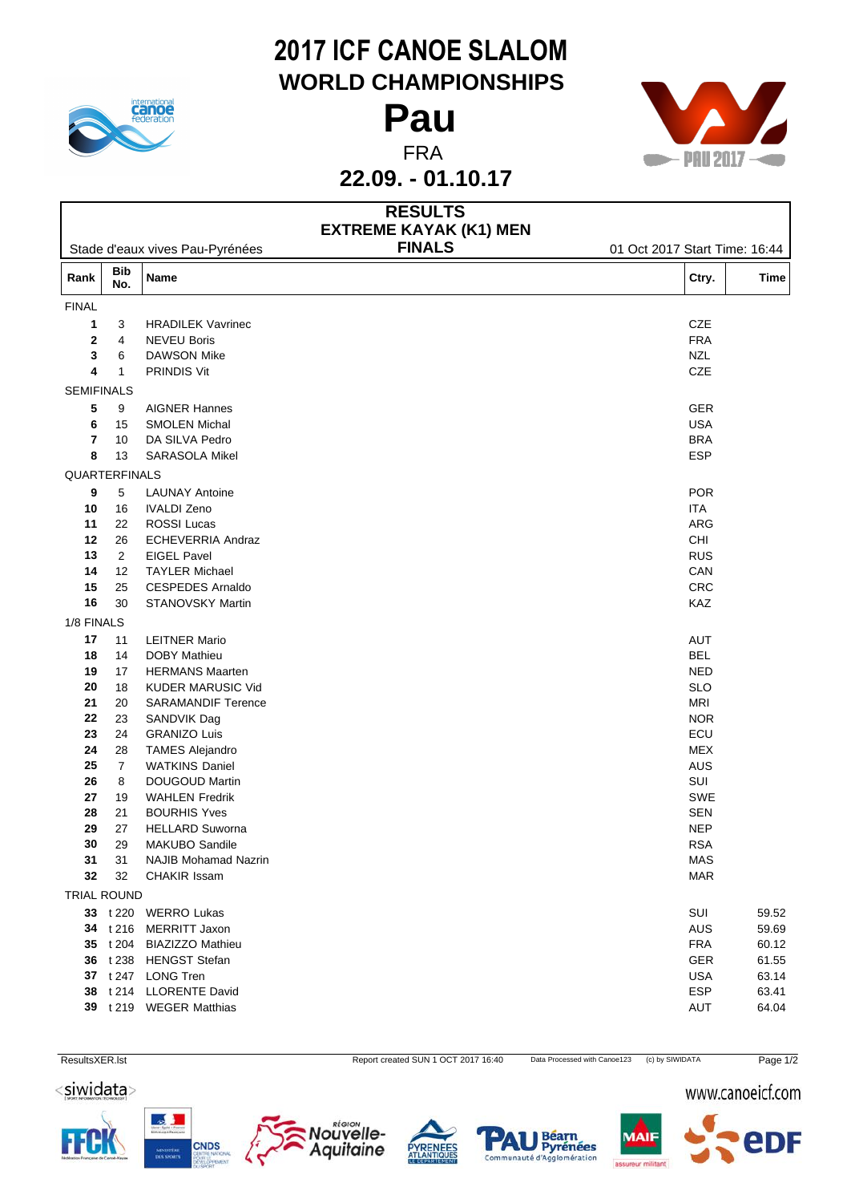

## **2017 ICF CANOE SLALOM WORLD CHAMPIONSHIPS**



|                    |                   |                                          | 22.09. - 01.10.17                               |                               |       |
|--------------------|-------------------|------------------------------------------|-------------------------------------------------|-------------------------------|-------|
|                    |                   |                                          | <b>RESULTS</b><br><b>EXTREME KAYAK (K1) MEN</b> |                               |       |
|                    |                   | Stade d'eaux vives Pau-Pyrénées          | <b>FINALS</b>                                   | 01 Oct 2017 Start Time: 16:44 |       |
| Rank               | <b>Bib</b><br>No. | Name                                     |                                                 | Ctry.                         | Time  |
| <b>FINAL</b>       |                   |                                          |                                                 |                               |       |
| 1                  | 3                 | <b>HRADILEK Vavrinec</b>                 |                                                 | CZE                           |       |
| $\mathbf{2}$       | $\overline{4}$    | <b>NEVEU Boris</b>                       |                                                 | <b>FRA</b>                    |       |
| 3                  | 6                 | <b>DAWSON Mike</b>                       |                                                 | <b>NZL</b>                    |       |
| 4                  | $\mathbf{1}$      | <b>PRINDIS Vit</b>                       |                                                 | CZE                           |       |
| <b>SEMIFINALS</b>  |                   |                                          |                                                 |                               |       |
| 5                  | 9                 | <b>AIGNER Hannes</b>                     |                                                 | <b>GER</b>                    |       |
| 6                  | 15                | <b>SMOLEN Michal</b>                     |                                                 | <b>USA</b>                    |       |
| $\overline{7}$     | 10                | DA SILVA Pedro                           |                                                 | <b>BRA</b>                    |       |
| 8                  | 13                | SARASOLA Mikel                           |                                                 | ESP                           |       |
| QUARTERFINALS      |                   |                                          |                                                 |                               |       |
| 9                  | 5                 | <b>LAUNAY Antoine</b>                    |                                                 | <b>POR</b>                    |       |
| 10                 | 16                | <b>IVALDI Zeno</b>                       |                                                 | ITA                           |       |
| 11                 | 22                | ROSSI Lucas                              |                                                 | ARG                           |       |
| $12$               | 26                | ECHEVERRIA Andraz                        |                                                 | CHI                           |       |
| 13                 | $\overline{2}$    | <b>EIGEL Pavel</b>                       |                                                 | <b>RUS</b>                    |       |
| 14                 | 12                | <b>TAYLER Michael</b>                    |                                                 | CAN                           |       |
| 15                 | 25                | <b>CESPEDES Arnaldo</b>                  |                                                 | CRC                           |       |
| 16                 | 30                | STANOVSKY Martin                         |                                                 | KAZ                           |       |
| 1/8 FINALS         |                   |                                          |                                                 |                               |       |
| 17                 | 11                | <b>LEITNER Mario</b>                     |                                                 | AUT                           |       |
| 18                 | 14                | <b>DOBY Mathieu</b>                      |                                                 | <b>BEL</b>                    |       |
| 19                 | 17                | <b>HERMANS Maarten</b>                   |                                                 | <b>NED</b>                    |       |
| ${\bf 20}$         | 18                | KUDER MARUSIC Vid                        |                                                 | <b>SLO</b><br><b>MRI</b>      |       |
| 21<br>22           | 20<br>23          | <b>SARAMANDIF Terence</b><br>SANDVIK Dag |                                                 | <b>NOR</b>                    |       |
| 23                 | 24                | <b>GRANIZO Luis</b>                      |                                                 | ECU                           |       |
| 24                 | 28                | <b>TAMES Alejandro</b>                   |                                                 | <b>MEX</b>                    |       |
| 25                 | $\overline{7}$    | <b>WATKINS Daniel</b>                    |                                                 | AUS                           |       |
| 26                 | 8                 | DOUGOUD Martin                           |                                                 | SUI                           |       |
| 27                 | 19                | <b>WAHLEN Fredrik</b>                    |                                                 | SWE                           |       |
| 28                 | 21                | <b>BOURHIS Yves</b>                      |                                                 | <b>SEN</b>                    |       |
| 29                 | 27                | <b>HELLARD Suworna</b>                   |                                                 | <b>NEP</b>                    |       |
| 30                 | 29                | <b>MAKUBO Sandile</b>                    |                                                 | <b>RSA</b>                    |       |
| 31                 | 31                | <b>NAJIB Mohamad Nazrin</b>              |                                                 | <b>MAS</b>                    |       |
| 32                 | 32                | CHAKIR Issam                             |                                                 | <b>MAR</b>                    |       |
| <b>TRIAL ROUND</b> |                   |                                          |                                                 |                               |       |
|                    |                   | 33 t 220 WERRO Lukas                     |                                                 | SUI                           | 59.52 |
|                    | 34 t 216          | <b>MERRITT Jaxon</b>                     |                                                 | AUS                           | 59.69 |
|                    | 35 t 204          | <b>BIAZIZZO Mathieu</b>                  |                                                 | <b>FRA</b>                    | 60.12 |
|                    | 36 t 238          | <b>HENGST Stefan</b>                     |                                                 | GER                           | 61.55 |
|                    |                   | 37 t 247 LONG Tren                       |                                                 | <b>USA</b>                    | 63.14 |
| 38                 |                   | t 214 LLORENTE David                     |                                                 | <b>ESP</b>                    | 63.41 |
|                    |                   | 39 t 219 WEGER Matthias                  |                                                 | AUT                           | 64.04 |
|                    |                   |                                          |                                                 |                               |       |

ResultsXER.lst **Report created SUN 1 OCT 2017 16:40** Data Processed with Canoe123 (c) by SIWIDATA Page 1/2

<siwidata>



CNDS